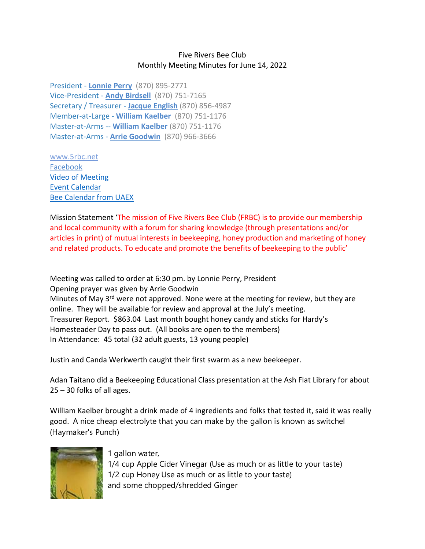## Five Rivers Bee Club Monthly Meeting Minutes for June 14, 2022

President - **[Lonnie](mailto:lonnieperry1@aol.com) Perry** (870) 895-2771 Vice-President - **Andy [Birdsell](mailto:birdselladj@yahoo.com)** (870) 751-7165 Secretary / Treasurer - **Jacque [English](mailto:unitsi@rpge.net)** (870) 856-4987 Member-at-Large - **William [Kaelber](mailto:druidjax@gmail.com)** (870) 751-1176 Master-at-Arms -- **[William](mailto:druidjax@gmail.com) Kaelber** (870) 751-1176 Master-at-Arms - **Arrie [Goodwin](mailto:arrei1@centurylink.net)** (870) 966-3666

[www.5rbc.net](http://www.5rbc.net/) [Facebook](https://www.facebook.com/groups/590964444394870/) [Video of Meeting](http://5rbc.net/Media/Movies/2022/20220614.MP4) [Event Calendar](http://5rbc.net/events.html) [Bee Calendar from UAEX](https://www.uaex.uada.edu/farm-ranch/special-programs/beekeeping/calendar.aspx)

Mission Statement 'The mission of Five Rivers Bee Club (FRBC) is to provide our membership and local community with a forum for sharing knowledge (through presentations and/or articles in print) of mutual interests in beekeeping, honey production and marketing of honey and related products. To educate and promote the benefits of beekeeping to the public'

Meeting was called to order at 6:30 pm. by Lonnie Perry, President Opening prayer was given by Arrie Goodwin Minutes of May  $3^{rd}$  were not approved. None were at the meeting for review, but they are online. They will be available for review and approval at the July's meeting. Treasurer Report. \$863.04 Last month bought honey candy and sticks for Hardy's Homesteader Day to pass out. (All books are open to the members) In Attendance: 45 total (32 adult guests, 13 young people)

Justin and Canda Werkwerth caught their first swarm as a new beekeeper.

Adan Taitano did a Beekeeping Educational Class presentation at the Ash Flat Library for about 25 – 30 folks of all ages.

William Kaelber brought a drink made of 4 ingredients and folks that tested it, said it was really good. A nice cheap electrolyte that you can make by the gallon is known as switchel (Haymaker's Punch)



1 gallon water,

1/4 cup Apple Cider Vinegar (Use as much or as little to your taste) 1/2 cup Honey Use as much or as little to your taste) and some chopped/shredded Ginger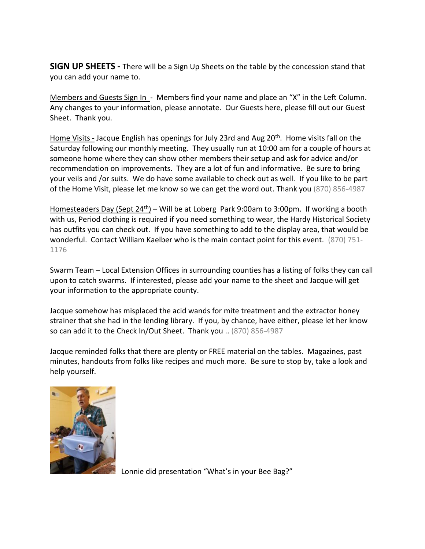**SIGN UP SHEETS -** There will be a Sign Up Sheets on the table by the concession stand that you can add your name to.

Members and Guests Sign In - Members find your name and place an "X" in the Left Column. Any changes to your information, please annotate. Our Guests here, please fill out our Guest Sheet. Thank you.

Home Visits - Jacque English has openings for July 23rd and Aug 20<sup>th</sup>. Home visits fall on the Saturday following our monthly meeting. They usually run at 10:00 am for a couple of hours at someone home where they can show other members their setup and ask for advice and/or recommendation on improvements. They are a lot of fun and informative. Be sure to bring your veils and /or suits. We do have some available to check out as well. If you like to be part of the Home Visit, please let me know so we can get the word out. Thank you (870) 856-4987

Homesteaders Day (Sept  $24<sup>th</sup>$ ) – Will be at Loberg Park 9:00am to 3:00pm. If working a booth with us, Period clothing is required if you need something to wear, the Hardy Historical Society has outfits you can check out. If you have something to add to the display area, that would be wonderful. Contact William Kaelber who is the main contact point for this event. (870) 751- 1176

Swarm Team – Local Extension Offices in surrounding counties has a listing of folks they can call upon to catch swarms. If interested, please add your name to the sheet and Jacque will get your information to the appropriate county.

Jacque somehow has misplaced the acid wands for mite treatment and the extractor honey strainer that she had in the lending library. If you, by chance, have either, please let her know so can add it to the Check In/Out Sheet. Thank you .. (870) 856-4987

Jacque reminded folks that there are plenty or FREE material on the tables. Magazines, past minutes, handouts from folks like recipes and much more. Be sure to stop by, take a look and help yourself.



Lonnie did presentation "What's in your Bee Bag?"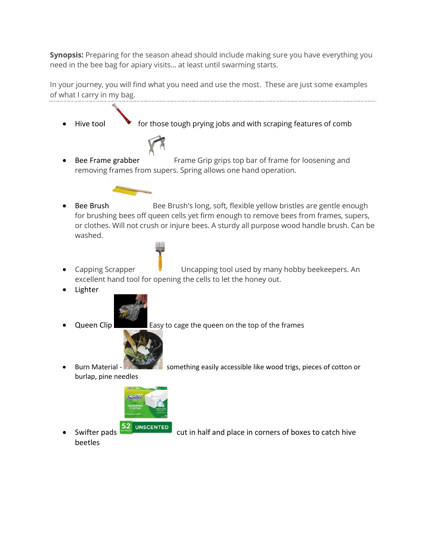**Synopsis:** Preparing for the season ahead should include making sure you have everything you need in the bee bag for apiary visits… at least until swarming starts.

In your journey, you will find what you need and use the most. These are just some examples of what I carry in my bag.

- $\bullet$  for those tough prying jobs and with scraping features of comb Bee Frame grabber Frame Grip grips top bar of frame for loosening and removing frames from supers. Spring allows one hand operation. Bee Brush Bee Brush's long, soft, flexible yellow bristles are gentle enough for brushing bees off queen cells yet firm enough to remove bees from frames, supers, or clothes. Will not crush or injure bees. A sturdy all purpose wood handle brush. Can be washed. • Capping Scrapper **Uncapping tool used by many hobby beekeepers.** An excellent hand tool for opening the cells to let the honey out. • Lighter Queen Clip **Easy to cage the queen on the top of the frames** Burn Material - something easily accessible like wood trigs, pieces of cotton or burlap, pine needles **Swiffer WEEPIN** 
	- Swifter pads **52** UNSCENTED cut in half and place in corners of boxes to catch hive beetles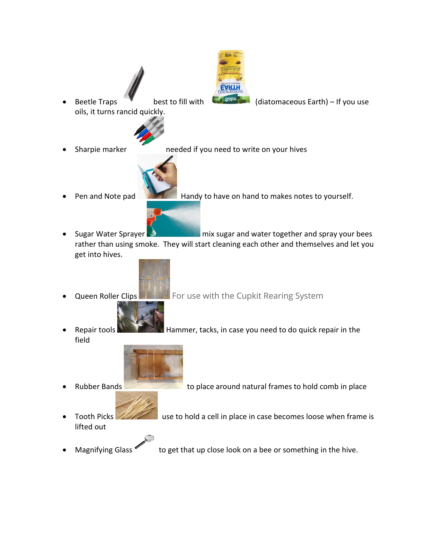Beetle Traps best to fill with  $\mathbb{C}$  and  $\mathbb{C}$  (diatomaceous Earth) – If you use oils, it turns rancid quickly.



Sharpie marker needed if you need to write on your hives



- Pen and Note pad **Handy to have on hand to makes notes to yourself.**
- Sugar Water Sprayer  $\Box$  mix sugar and water together and spray your bees rather than using smoke. They will start cleaning each other and themselves and let you get into hives.



- - **Queen Roller Clips Form Form U.S. For use with the Cupkit Rearing System**
- Repair tools **Hammer, tacks, in case you need to do quick repair in the** field



- 
- **Rubber Bands Example 2018 to place around natural frames to hold comb in place**
- Tooth Picks **in the USA was a cell in place in case becomes loose when frame is** lifted out



Magnifying Glass to get that up close look on a bee or something in the hive.